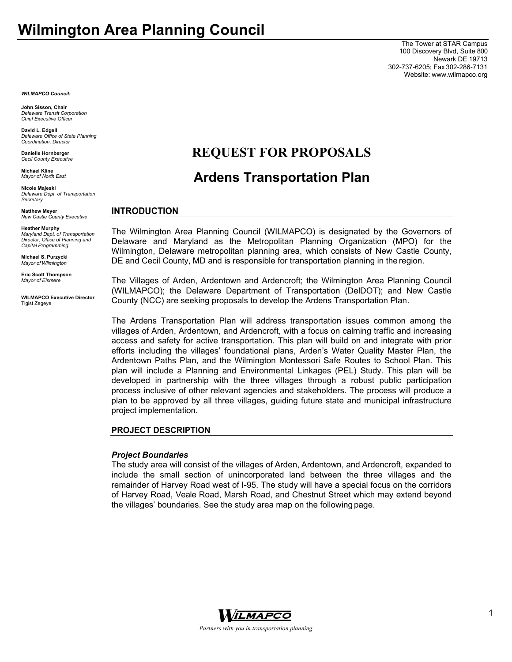The Tower at STAR Campus 100 Discovery Blvd, Suite 800 Newark DE 19713 302-737-6205; Fax 302-286-7131 Website: www.wilmapco.org

*WILMAPCO Council:* 

**John Sisson, Chair**  *Delaware Transit Corporation Chief Executive Officer* 

**David L. Edgell**  *Delaware Office of State Planning Coordination, Director* 

**Danielle Hornberger** 

**Michael Kline**  *Mayor of North East* 

**Nicole Majeski**  *Delaware Dept. of Transportation Secretary* 

**Matthew Meyer**  *New Castle County Executive* 

**Heather Murphy**  *Maryland Dept. of Transportation Director, Office of Planning and Capital Programming* 

**Michael S. Purzycki**  *Mayor of Wilmington* 

**Eric Scott Thompson**  *Mayor of Elsmere* 

**WILMAPCO Executive Director**  Tigist Zegeye

# **REQUEST FOR PROPOSALS**

# **Ardens Transportation Plan**

#### **INTRODUCTION**

The Wilmington Area Planning Council (WILMAPCO) is designated by the Governors of Delaware and Maryland as the Metropolitan Planning Organization (MPO) for the Wilmington, Delaware metropolitan planning area, which consists of New Castle County, DE and Cecil County, MD and is responsible for transportation planning in the region.

The Villages of Arden, Ardentown and Ardencroft; the Wilmington Area Planning Council (WILMAPCO); the Delaware Department of Transportation (DelDOT); and New Castle County (NCC) are seeking proposals to develop the Ardens Transportation Plan.

The Ardens Transportation Plan will address transportation issues common among the villages of Arden, Ardentown, and Ardencroft, with a focus on calming traffic and increasing access and safety for active transportation. This plan will build on and integrate with prior efforts including the villages' foundational plans, Arden's Water Quality Master Plan, the Ardentown Paths Plan, and the Wilmington Montessori Safe Routes to School Plan. This plan will include a Planning and Environmental Linkages (PEL) Study. This plan will be developed in partnership with the three villages through a robust public participation process inclusive of other relevant agencies and stakeholders. The process will produce a plan to be approved by all three villages, guiding future state and municipal infrastructure project implementation.

#### **PROJECT DESCRIPTION**

#### *Project Boundaries*

The study area will consist of the villages of Arden, Ardentown, and Ardencroft, expanded to include the small section of unincorporated land between the three villages and the remainder of Harvey Road west of I-95. The study will have a special focus on the corridors of Harvey Road, Veale Road, Marsh Road, and Chestnut Street which may extend beyond the villages' boundaries. See the study area map on the following page.

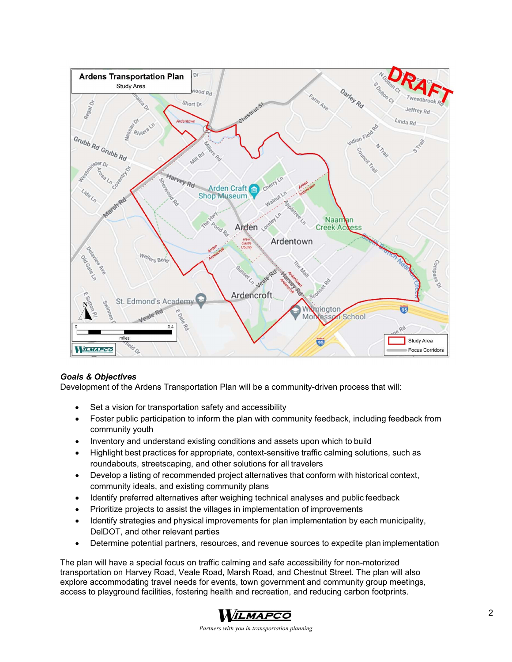

# *Goals & Objectives*

Development of the Ardens Transportation Plan will be a community-driven process that will:

- Set a vision for transportation safety and accessibility
- Foster public participation to inform the plan with community feedback, including feedback from community youth
- Inventory and understand existing conditions and assets upon which to build
- Highlight best practices for appropriate, context-sensitive traffic calming solutions, such as roundabouts, streetscaping, and other solutions for all travelers
- Develop a listing of recommended project alternatives that conform with historical context, community ideals, and existing community plans
- Identify preferred alternatives after weighing technical analyses and public feedback
- Prioritize projects to assist the villages in implementation of improvements
- Identify strategies and physical improvements for plan implementation by each municipality, DelDOT, and other relevant parties
- Determine potential partners, resources, and revenue sources to expedite plan implementation

The plan will have a special focus on traffic calming and safe accessibility for non-motorized transportation on Harvey Road, Veale Road, Marsh Road, and Chestnut Street. The plan will also explore accommodating travel needs for events, town government and community group meetings, access to playground facilities, fostering health and recreation, and reducing carbon footprints.



*Partners with you in transportation planning*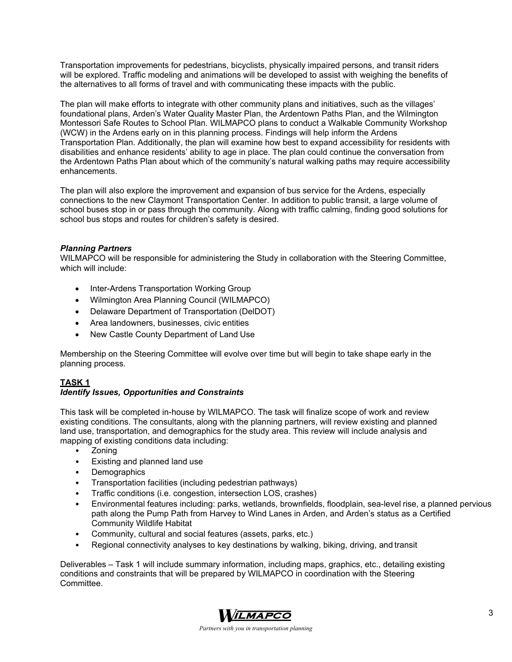Transportation improvements for pedestrians, bicyclists, physically impaired persons, and transit riders will be explored. Traffic modeling and animations will be developed to assist with weighing the benefits of the alternatives to all forms of travel and with communicating these impacts with the public.

The plan will make efforts to integrate with other community plans and initiatives, such as the villages' foundational plans, Arden's Water Quality Master Plan, the Ardentown Paths Plan, and the Wilmington Montessori Safe Routes to School Plan. WILMAPCO plans to conduct a Walkable Community Workshop (WCW) in the Ardens early on in this planning process. Findings will help inform the Ardens Transportation Plan. Additionally, the plan will examine how best to expand accessibility for residents with disabilities and enhance residents' ability to age in place. The plan could continue the conversation from the Ardentown Paths Plan about which of the community's natural walking paths may require accessibility enhancements.

The plan will also explore the improvement and expansion of bus service for the Ardens, especially connections to the new Claymont Transportation Center. In addition to public transit, a large volume of school buses stop in or pass through the community. Along with traffic calming, finding good solutions for school bus stops and routes for children's safety is desired.

# *Planning Partners*

WILMAPCO will be responsible for administering the Study in collaboration with the Steering Committee, which will include:

- Inter-Ardens Transportation Working Group
- Wilmington Area Planning Council (WILMAPCO)
- Delaware Department of Transportation (DelDOT)
- Area landowners, businesses, civic entities
- New Castle County Department of Land Use

Membership on the Steering Committee will evolve over time but will begin to take shape early in the planning process.

# **TASK 1**

# *Identify Issues, Opportunities and Constraints*

This task will be completed in-house by WILMAPCO. The task will finalize scope of work and review existing conditions. The consultants, along with the planning partners, will review existing and planned land use, transportation, and demographics for the study area. This review will include analysis and mapping of existing conditions data including:

- Zoning
- Existing and planned land use
- **Demographics**
- Transportation facilities (including pedestrian pathways)
- Traffic conditions (i.e. congestion, intersection LOS, crashes)
- Environmental features including: parks, wetlands, brownfields, floodplain, sea-level rise, a planned pervious path along the Pump Path from Harvey to Wind Lanes in Arden, and Arden's status as a Certified Community Wildlife Habitat
- Community, cultural and social features (assets, parks, etc.)
- Regional connectivity analyses to key destinations by walking, biking, driving, and transit

Deliverables – Task 1 will include summary information, including maps, graphics, etc., detailing existing conditions and constraints that will be prepared by WILMAPCO in coordination with the Steering **Committee.** 

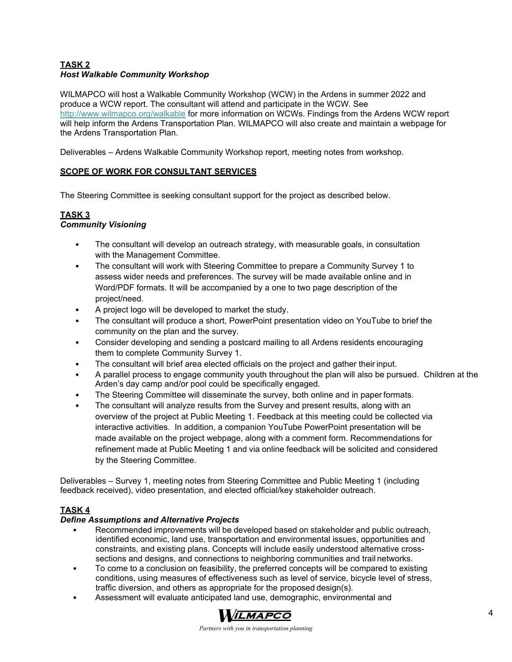# **TASK 2**  *Host Walkable Community Workshop*

WILMAPCO will host a Walkable Community Workshop (WCW) in the Ardens in summer 2022 and produce a WCW report. The consultant will attend and participate in the WCW. See http://www.wilmapco.org/walkable for more information on WCWs. Findings from the Ardens WCW report will help inform the Ardens Transportation Plan. WILMAPCO will also create and maintain a webpage for the Ardens Transportation Plan.

Deliverables – Ardens Walkable Community Workshop report, meeting notes from workshop.

#### **SCOPE OF WORK FOR CONSULTANT SERVICES**

The Steering Committee is seeking consultant support for the project as described below.

# **TASK 3**

## *Community Visioning*

- The consultant will develop an outreach strategy, with measurable goals, in consultation with the Management Committee.
- The consultant will work with Steering Committee to prepare a Community Survey 1 to assess wider needs and preferences. The survey will be made available online and in Word/PDF formats. It will be accompanied by a one to two page description of the project/need.
- A project logo will be developed to market the study.
- The consultant will produce a short, PowerPoint presentation video on YouTube to brief the community on the plan and the survey.
- Consider developing and sending a postcard mailing to all Ardens residents encouraging them to complete Community Survey 1.
- The consultant will brief area elected officials on the project and gather their input.
- A parallel process to engage community youth throughout the plan will also be pursued. Children at the Arden's day camp and/or pool could be specifically engaged.
- The Steering Committee will disseminate the survey, both online and in paper formats.
- The consultant will analyze results from the Survey and present results, along with an overview of the project at Public Meeting 1. Feedback at this meeting could be collected via interactive activities. In addition, a companion YouTube PowerPoint presentation will be made available on the project webpage, along with a comment form. Recommendations for refinement made at Public Meeting 1 and via online feedback will be solicited and considered by the Steering Committee.

Deliverables – Survey 1, meeting notes from Steering Committee and Public Meeting 1 (including feedback received), video presentation, and elected official/key stakeholder outreach.

## **TASK 4**

## *Define Assumptions and Alternative Projects*

- Recommended improvements will be developed based on stakeholder and public outreach, identified economic, land use, transportation and environmental issues, opportunities and constraints, and existing plans. Concepts will include easily understood alternative crosssections and designs, and connections to neighboring communities and trail networks.
- To come to a conclusion on feasibility, the preferred concepts will be compared to existing conditions, using measures of effectiveness such as level of service, bicycle level of stress, traffic diversion, and others as appropriate for the proposed design(s).
- Assessment will evaluate anticipated land use, demographic, environmental and

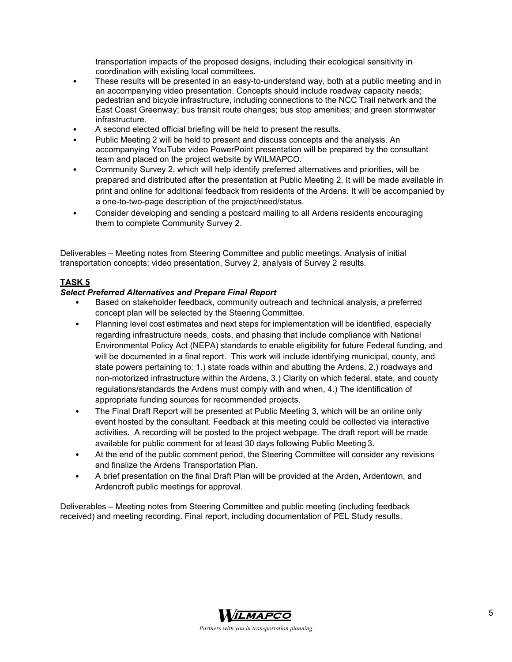transportation impacts of the proposed designs, including their ecological sensitivity in coordination with existing local committees.

- These results will be presented in an easy-to-understand way, both at a public meeting and in an accompanying video presentation. Concepts should include roadway capacity needs; pedestrian and bicycle infrastructure, including connections to the NCC Trail network and the East Coast Greenway; bus transit route changes; bus stop amenities; and green stormwater infrastructure.
- A second elected official briefing will be held to present the results.
- Public Meeting 2 will be held to present and discuss concepts and the analysis. An accompanying YouTube video PowerPoint presentation will be prepared by the consultant team and placed on the project website by WILMAPCO.
- Community Survey 2, which will help identify preferred alternatives and priorities, will be prepared and distributed after the presentation at Public Meeting 2. It will be made available in print and online for additional feedback from residents of the Ardens. It will be accompanied by a one-to-two-page description of the project/need/status.
- Consider developing and sending a postcard mailing to all Ardens residents encouraging them to complete Community Survey 2.

Deliverables – Meeting notes from Steering Committee and public meetings. Analysis of initial transportation concepts; video presentation, Survey 2, analysis of Survey 2 results.

## **TASK 5**

#### *Select Preferred Alternatives and Prepare Final Report*

- Based on stakeholder feedback, community outreach and technical analysis, a preferred concept plan will be selected by the Steering Committee.
- Planning level cost estimates and next steps for implementation will be identified, especially regarding infrastructure needs, costs, and phasing that include compliance with National Environmental Policy Act (NEPA) standards to enable eligibility for future Federal funding, and will be documented in a final report. This work will include identifying municipal, county, and state powers pertaining to: 1.) state roads within and abutting the Ardens, 2.) roadways and non-motorized infrastructure within the Ardens, 3.) Clarity on which federal, state, and county regulations/standards the Ardens must comply with and when, 4.) The identification of appropriate funding sources for recommended projects.
- The Final Draft Report will be presented at Public Meeting 3, which will be an online only event hosted by the consultant. Feedback at this meeting could be collected via interactive activities. A recording will be posted to the project webpage. The draft report will be made available for public comment for at least 30 days following Public Meeting 3.
- At the end of the public comment period, the Steering Committee will consider any revisions and finalize the Ardens Transportation Plan.
- A brief presentation on the final Draft Plan will be provided at the Arden, Ardentown, and Ardencroft public meetings for approval.

Deliverables – Meeting notes from Steering Committee and public meeting (including feedback received) and meeting recording. Final report, including documentation of PEL Study results.

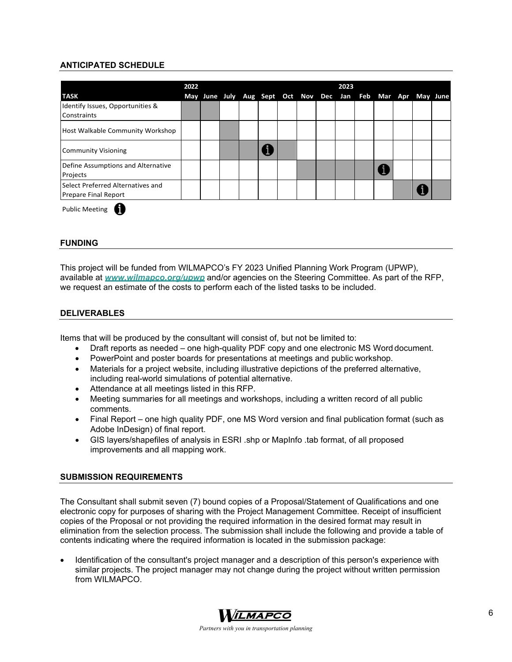# **ANTICIPATED SCHEDULE**

|                                    | 2022 |  |                                                             |  | 2023 |  |  |  |
|------------------------------------|------|--|-------------------------------------------------------------|--|------|--|--|--|
| <b>TASK</b>                        |      |  | May June July Aug Sept Oct Nov Dec Jan Feb Mar Apr May June |  |      |  |  |  |
| Identify Issues, Opportunities &   |      |  |                                                             |  |      |  |  |  |
| Constraints                        |      |  |                                                             |  |      |  |  |  |
| Host Walkable Community Workshop   |      |  |                                                             |  |      |  |  |  |
| <b>Community Visioning</b>         |      |  |                                                             |  |      |  |  |  |
| Define Assumptions and Alternative |      |  |                                                             |  |      |  |  |  |
| Projects                           |      |  |                                                             |  |      |  |  |  |
| Select Preferred Alternatives and  |      |  |                                                             |  |      |  |  |  |
| Prepare Final Report               |      |  |                                                             |  |      |  |  |  |

Public Meeting

#### **FUNDING**

This project will be funded from WILMAPCO's FY 2023 Unified Planning Work Program (UPWP), available at *www.wilmapco.org/upwp* and/or agencies on the Steering Committee. As part of the RFP, we request an estimate of the costs to perform each of the listed tasks to be included.

#### **DELIVERABLES**

Items that will be produced by the consultant will consist of, but not be limited to:

- Draft reports as needed one high-quality PDF copy and one electronic MS Word document.
- PowerPoint and poster boards for presentations at meetings and public workshop.
- Materials for a project website, including illustrative depictions of the preferred alternative, including real-world simulations of potential alternative.
- Attendance at all meetings listed in this RFP.
- Meeting summaries for all meetings and workshops, including a written record of all public comments.
- Final Report one high quality PDF, one MS Word version and final publication format (such as Adobe InDesign) of final report.
- GIS layers/shapefiles of analysis in ESRI .shp or MapInfo .tab format, of all proposed improvements and all mapping work.

#### **SUBMISSION REQUIREMENTS**

The Consultant shall submit seven (7) bound copies of a Proposal/Statement of Qualifications and one electronic copy for purposes of sharing with the Project Management Committee. Receipt of insufficient copies of the Proposal or not providing the required information in the desired format may result in elimination from the selection process. The submission shall include the following and provide a table of contents indicating where the required information is located in the submission package:

 Identification of the consultant's project manager and a description of this person's experience with similar projects. The project manager may not change during the project without written permission from WILMAPCO.

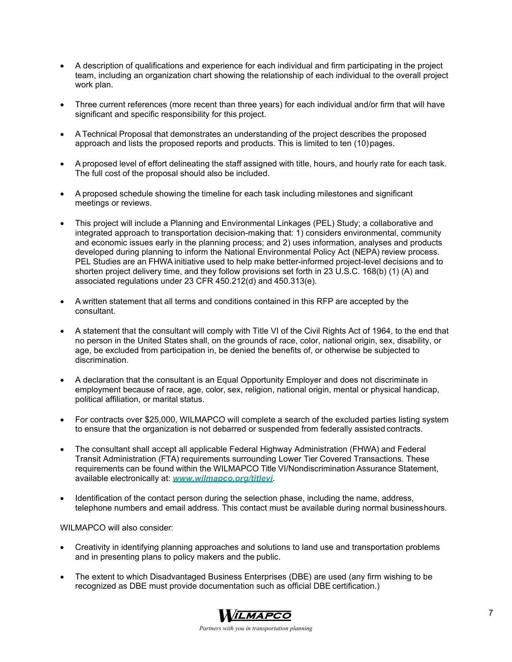- A description of qualifications and experience for each individual and firm participating in the project team, including an organization chart showing the relationship of each individual to the overall project work plan.
- Three current references (more recent than three years) for each individual and/or firm that will have significant and specific responsibility for this project.
- A Technical Proposal that demonstrates an understanding of the project describes the proposed approach and lists the proposed reports and products. This is limited to ten (10) pages.
- A proposed level of effort delineating the staff assigned with title, hours, and hourly rate for each task. The full cost of the proposal should also be included.
- A proposed schedule showing the timeline for each task including milestones and significant meetings or reviews.
- This project will include a Planning and Environmental Linkages (PEL) Study; a collaborative and integrated approach to transportation decision-making that: 1) considers environmental, community and economic issues early in the planning process; and 2) uses information, analyses and products developed during planning to inform the National Environmental Policy Act (NEPA) review process. PEL Studies are an FHWA initiative used to help make better-informed project-level decisions and to shorten project delivery time, and they follow provisions set forth in 23 U.S.C. 168(b) (1) (A) and associated regulations under 23 CFR 450.212(d) and 450.313(e).
- A written statement that all terms and conditions contained in this RFP are accepted by the consultant.
- A statement that the consultant will comply with Title VI of the Civil Rights Act of 1964, to the end that no person in the United States shall, on the grounds of race, color, national origin, sex, disability, or age, be excluded from participation in, be denied the benefits of, or otherwise be subjected to discrimination.
- A declaration that the consultant is an Equal Opportunity Employer and does not discriminate in employment because of race, age, color, sex, religion, national origin, mental or physical handicap, political affiliation, or marital status.
- For contracts over \$25,000, WILMAPCO will complete a search of the excluded parties listing system to ensure that the organization is not debarred or suspended from federally assisted contracts.
- The consultant shall accept all applicable Federal Highway Administration (FHWA) and Federal Transit Administration (FTA) requirements surrounding Lower Tier Covered Transactions. These requirements can be found within the WILMAPCO Title VI/Nondiscrimination Assurance Statement, available electronically at: *www.wilmapco.org/titlevi*.
- Identification of the contact person during the selection phase, including the name, address, telephone numbers and email address. This contact must be available during normal business hours.

WILMAPCO will also consider:

- Creativity in identifying planning approaches and solutions to land use and transportation problems and in presenting plans to policy makers and the public.
- The extent to which Disadvantaged Business Enterprises (DBE) are used (any firm wishing to be recognized as DBE must provide documentation such as official DBE certification.)